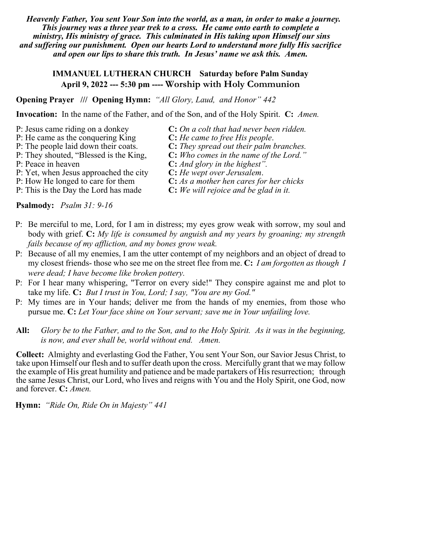*Heavenly Father, You sent Your Son into the world, as a man, in order to make a journey. This journey was a three year trek to a cross. He came onto earth to complete a ministry, His ministry of grace. This culminated in His taking upon Himself our sins and suffering our punishment. Open our hearts Lord to understand more fully His sacrifice and open our lips to share this truth. In Jesus' name we ask this. Amen.*

# **IMMANUEL LUTHERAN CHURCH Saturday before Palm Sunday April 9, 2022 --- 5:30 pm ---- Worship with Holy Communion**

**Opening Prayer /// Opening Hymn:** *"All Glory, Laud, and Honor" 442*

**Invocation:** In the name of the Father, and of the Son, and of the Holy Spirit. **C:** *Amen.*

- P: Jesus came riding on a donkey **C:** *On a colt that had never been ridden.*
- P: He came as the conquering King **C:** *He came to free His people*.
- 
- 
- 
- P: Yet, when Jesus approached the city **C:** *He wept over Jerusalem*.
- 
- 

**Psalmody:** *Psalm 31: 9-16*

- P: Be merciful to me, Lord, for I am in distress; my eyes grow weak with sorrow, my soul and body with grief. **C:** *My life is consumed by anguish and my years by groaning; my strength fails because of my affliction, and my bones grow weak.*
- P: Because of all my enemies, I am the utter contempt of my neighbors and an object of dread to my closest friends- those who see me on the street flee from me. **C:** *I am forgotten as though I were dead; I have become like broken pottery.*
- P: For I hear many whispering, "Terror on every side!" They conspire against me and plot to take my life. **C:** *But I trust in You, Lord; I say, "You are my God."*
- P: My times are in Your hands; deliver me from the hands of my enemies, from those who pursue me. **C:** *Let Your face shine on Your servant; save me in Your unfailing love.*

**All:** *Glory be to the Father, and to the Son, and to the Holy Spirit. As it was in the beginning, is now, and ever shall be, world without end. Amen.*

**Collect:** Almighty and everlasting God the Father, You sent Your Son, our Savior Jesus Christ, to take upon Himself our flesh and to suffer death upon the cross. Mercifully grant that we may follow the example of His great humility and patience and be made partakers of His resurrection; through the same Jesus Christ, our Lord, who lives and reigns with You and the Holy Spirit, one God, now and forever. **C:** *Amen.*

**Hymn:** *"Ride On, Ride On in Majesty" 441*

- 
- 
- P: The people laid down their coats. **C:** *They spread out their palm branches.*<br>P: They shouted, "Blessed is the King, **C:** *Who comes in the name of the Lord."* **C:** Who comes in the name of the Lord."
- P: Peace in heaven **C:** *And glory in the highest".*
	-
- P: How He longed to care for them **C:** *As a mother hen cares for her chicks*
- P: This is the Day the Lord has made **C:** *We will rejoice and be glad in it.*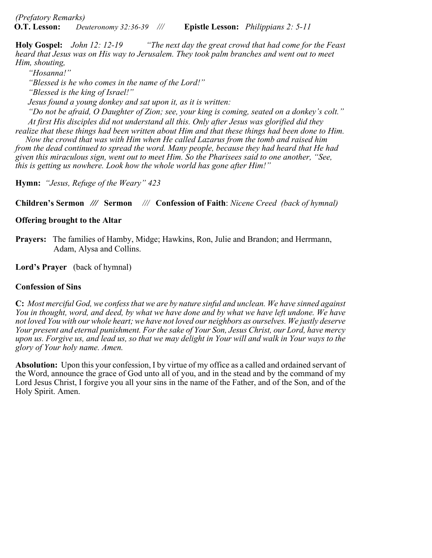*(Prefatory Remarks)* **O.T. Lesson:** *Deuteronomy 32:36-39 ///* **Epistle Lesson:** *Philippians 2: 5-11*

**Holy Gospel:** *John 12: 12-19 "The next day the great crowd that had come for the Feast heard that Jesus was on His way to Jerusalem. They took palm branches and went out to meet Him, shouting,*

*"Hosanna!"*

*"Blessed is he who comes in the name of the Lord!"*

*"Blessed is the king of Israel!"*

*Jesus found a young donkey and sat upon it, as it is written:*

*"Do not be afraid, O Daughter of Zion; see, your king is coming, seated on a donkey's colt." At first His disciples did not understand all this. Only after Jesus was glorified did they* 

*realize that these things had been written about Him and that these things had been done to Him. Now the crowd that was with Him when He called Lazarus from the tomb and raised him from the dead continued to spread the word. Many people, because they had heard that He had given this miraculous sign, went out to meet Him. So the Pharisees said to one another, "See, this is getting us nowhere. Look how the whole world has gone after Him!"*

**Hymn:** *"Jesus, Refuge of the Weary" 423*

**Children's Sermon** *///* **Sermon** *///* **Confession of Faith**: *Nicene Creed (back of hymnal)*

# **Offering brought to the Altar**

**Prayers:** The families of Hamby, Midge; Hawkins, Ron, Julie and Brandon; and Herrmann, Adam, Alysa and Collins.

**Lord's Prayer** (back of hymnal)

## **Confession of Sins**

**C:** *Most merciful God, we confess that we are by nature sinful and unclean. We have sinned against You in thought, word, and deed, by what we have done and by what we have left undone. We have not loved You with our whole heart; we have not loved our neighbors as ourselves. We justly deserve Your present and eternal punishment. For the sake of Your Son, Jesus Christ, our Lord, have mercy upon us. Forgive us, and lead us, so that we may delight in Your will and walk in Your ways to the glory of Your holy name. Amen.*

**Absolution:** Upon this your confession, I by virtue of my office as a called and ordained servant of the Word, announce the grace of God unto all of you, and in the stead and by the command of my Lord Jesus Christ, I forgive you all your sins in the name of the Father, and of the Son, and of the Holy Spirit. Amen.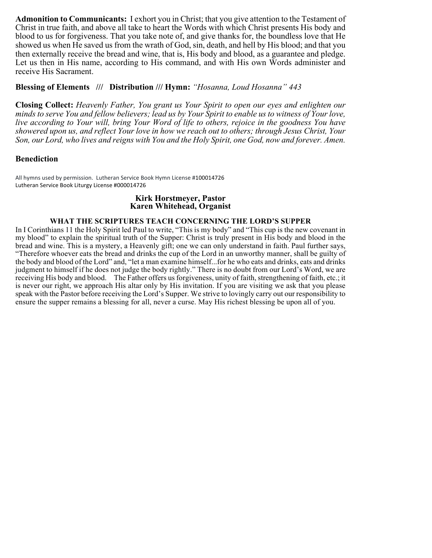**Admonition to Communicants:** I exhort you in Christ; that you give attention to the Testament of Christ in true faith, and above all take to heart the Words with which Christ presents His body and blood to us for forgiveness. That you take note of, and give thanks for, the boundless love that He showed us when He saved us from the wrath of God, sin, death, and hell by His blood; and that you then externally receive the bread and wine, that is, His body and blood, as a guarantee and pledge. Let us then in His name, according to His command, and with His own Words administer and receive His Sacrament.

### **Blessing of Elements /// Distribution /// Hymn:** *"Hosanna, Loud Hosanna" 443*

**Closing Collect:** *Heavenly Father, You grant us Your Spirit to open our eyes and enlighten our minds to serve You and fellow believers; lead us by Your Spirit to enable us to witness of Your love, live according to Your will, bring Your Word of life to others, rejoice in the goodness You have showered upon us, and reflect Your love in how we reach out to others; through Jesus Christ, Your Son, our Lord, who lives and reigns with You and the Holy Spirit, one God, now and forever. Amen.*

## **Benediction**

All hymns used by permission. Lutheran Service Book Hymn License #100014726 Lutheran Service Book Liturgy License #000014726

#### **Kirk Horstmeyer, Pastor Karen Whitehead, Organist**

#### **WHAT THE SCRIPTURES TEACH CONCERNING THE LORD'S SUPPER**

In I Corinthians 11 the Holy Spirit led Paul to write, "This is my body" and "This cup is the new covenant in my blood" to explain the spiritual truth of the Supper: Christ is truly present in His body and blood in the bread and wine. This is a mystery, a Heavenly gift; one we can only understand in faith. Paul further says, "Therefore whoever eats the bread and drinks the cup of the Lord in an unworthy manner, shall be guilty of the body and blood of the Lord" and, "let a man examine himself...for he who eats and drinks, eats and drinks judgment to himself if he does not judge the body rightly." There is no doubt from our Lord's Word, we are receiving His body and blood. The Father offers us forgiveness, unity of faith, strengthening of faith, etc.; it is never our right, we approach His altar only by His invitation. If you are visiting we ask that you please speak with the Pastor before receiving the Lord's Supper. We strive to lovingly carry out our responsibility to ensure the supper remains a blessing for all, never a curse. May His richest blessing be upon all of you.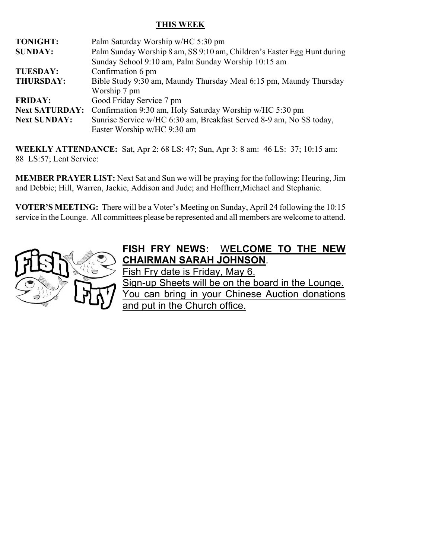# **THIS WEEK**

| <b>TONIGHT:</b>       | Palm Saturday Worship w/HC 5:30 pm                                      |
|-----------------------|-------------------------------------------------------------------------|
| <b>SUNDAY:</b>        | Palm Sunday Worship 8 am, SS 9:10 am, Children's Easter Egg Hunt during |
|                       | Sunday School 9:10 am, Palm Sunday Worship 10:15 am                     |
| <b>TUESDAY:</b>       | Confirmation 6 pm                                                       |
| <b>THURSDAY:</b>      | Bible Study 9:30 am, Maundy Thursday Meal 6:15 pm, Maundy Thursday      |
|                       | Worship 7 pm                                                            |
| <b>FRIDAY:</b>        | Good Friday Service 7 pm                                                |
| <b>Next SATURDAY:</b> | Confirmation 9:30 am, Holy Saturday Worship w/HC 5:30 pm                |
| <b>Next SUNDAY:</b>   | Sunrise Service w/HC 6:30 am, Breakfast Served 8-9 am, No SS today,     |
|                       | Easter Worship w/HC 9:30 am                                             |

**WEEKLY ATTENDANCE:** Sat, Apr 2: 68 LS: 47; Sun, Apr 3: 8 am: 46 LS: 37; 10:15 am: 88 LS:57; Lent Service:

**MEMBER PRAYER LIST:** Next Sat and Sun we will be praying for the following: Heuring, Jim and Debbie; Hill, Warren, Jackie, Addison and Jude; and Hoffherr,Michael and Stephanie.

**VOTER'S MEETING:** There will be a Voter's Meeting on Sunday, April 24 following the 10:15 service in the Lounge. All committees please be represented and all members are welcome to attend.



# **FISH FRY NEWS:** W**ELCOME TO THE NEW CHAIRMAN SARAH JOHNSON**.

Fish Fry date is Friday, May 6. Sign-up Sheets will be on the board in the Lounge. You can bring in your Chinese Auction donations and put in the Church office.